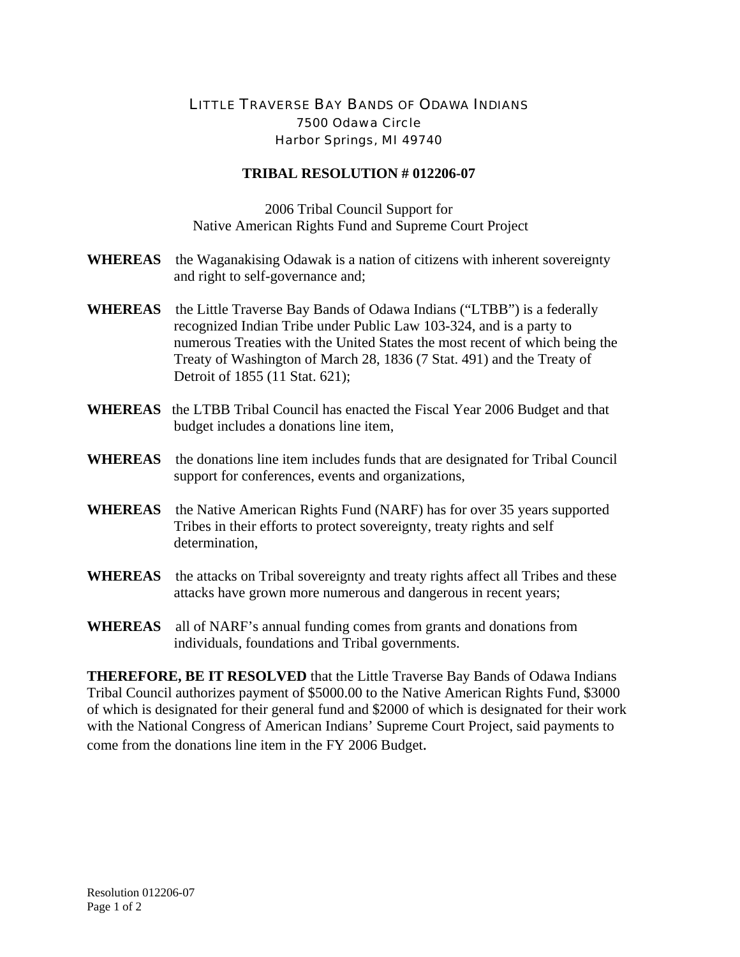## LITTLE TRAVERSE BAY BANDS OF ODAWA INDIANS 7500 Odawa Circle Harbor Springs, MI 49740

## **TRIBAL RESOLUTION # 012206-07**

2006 Tribal Council Support for Native American Rights Fund and Supreme Court Project

- **WHEREAS** the Waganakising Odawak is a nation of citizens with inherent sovereignty and right to self-governance and;
- **WHEREAS** the Little Traverse Bay Bands of Odawa Indians ("LTBB") is a federally recognized Indian Tribe under Public Law 103-324, and is a party to numerous Treaties with the United States the most recent of which being the Treaty of Washington of March 28, 1836 (7 Stat. 491) and the Treaty of Detroit of 1855 (11 Stat. 621);
- **WHEREAS** the LTBB Tribal Council has enacted the Fiscal Year 2006 Budget and that budget includes a donations line item,
- **WHEREAS** the donations line item includes funds that are designated for Tribal Council support for conferences, events and organizations,
- **WHEREAS** the Native American Rights Fund (NARF) has for over 35 years supported Tribes in their efforts to protect sovereignty, treaty rights and self determination.
- **WHEREAS** the attacks on Tribal sovereignty and treaty rights affect all Tribes and these attacks have grown more numerous and dangerous in recent years;
- **WHEREAS** all of NARF's annual funding comes from grants and donations from individuals, foundations and Tribal governments.

**THEREFORE, BE IT RESOLVED** that the Little Traverse Bay Bands of Odawa Indians Tribal Council authorizes payment of \$5000.00 to the Native American Rights Fund, \$3000 of which is designated for their general fund and \$2000 of which is designated for their work with the National Congress of American Indians' Supreme Court Project, said payments to come from the donations line item in the FY 2006 Budget.